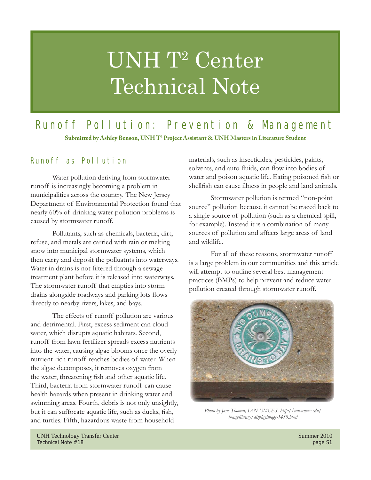# UNH T<sup>2</sup> Center Technical Note

# Runoff Pollution: Prevention & Management

**Submitted by Ashley Benson, UNH T2 Project Assistant & UNH Masters in Literature Student**

# Runoff as Pollution

 Water pollution deriving from stormwater runoff is increasingly becoming a problem in municipalities across the country. The New Jersey Department of Environmental Protection found that nearly 60% of drinking water pollution problems is caused by stormwater runoff.

 Pollutants, such as chemicals, bacteria, dirt, refuse, and metals are carried with rain or melting snow into municipal stormwater systems, which then carry and deposit the polluatnts into waterways. Water in drains is not filtered through a sewage treatment plant before it is released into waterways. The stormwater runoff that empties into storm drains alongside roadways and parking lots flows directly to nearby rivers, lakes, and bays.

 The effects of runoff pollution are various and detrimental. First, excess sediment can cloud water, which disrupts aquatic habitats. Second, runoff from lawn fertilizer spreads excess nutrients into the water, causing algae blooms once the overly nutrient-rich runoff reaches bodies of water. When the algae decomposes, it removes oxygen from the water, threatening fish and other aquatic life. Third, bacteria from stormwater runoff can cause health hazards when present in drinking water and swimming areas. Fourth, debris is not only unsightly, but it can suffocate aquatic life, such as ducks, fish, and turtles. Fifth, hazardous waste from household

materials, such as insecticides, pesticides, paints, solvents, and auto fluids, can flow into bodies of water and poison aquatic life. Eating poisoned fish or shellfish can cause illness in people and land animals.

 Stormwater pollution is termed "non-point source" pollution because it cannot be traced back to a single source of pollution (such as a chemical spill, for example). Instead it is a combination of many sources of pollution and affects large areas of land and wildlife.

 For all of these reasons, stormwater runoff is a large problem in our communities and this article will attempt to outline several best management practices (BMPs) to help prevent and reduce water pollution created through stormwater runoff.



*Photo by Jane Thomas, IAN UMCES, http://ian.umces.edu/ imagelibrary/displayimage-1438.html*

UNH Technology Transfer Center Summer 2010 Technical Note #18 page S1 page S1 page S1 page S1 page S1 page S1 page S1 page S1 page S1 page S1 page S1 page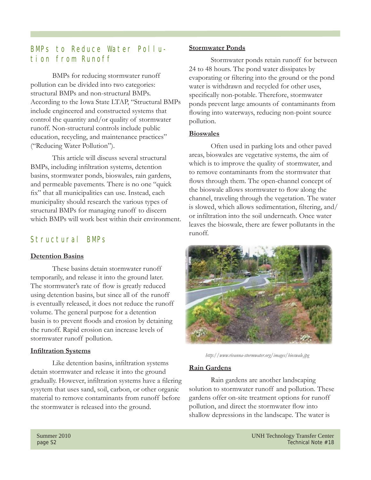# BMPs to Reduce Water Pollution from Runoff

 BMPs for reducing stormwater runoff pollution can be divided into two categories: structural BMPs and non-structural BMPs. According to the Iowa State LTAP, "Structural BMPs include engineered and constructed systems that control the quantity and/or quality of stormwater runoff. Non-structural controls include public education, recycling, and maintenance practices" ("Reducing Water Pollution").

 This article will discuss several structural BMPs, including infiltration systems, detention basins, stormwater ponds, bioswales, rain gardens, and permeable pavements. There is no one "quick fix" that all municipalities can use. Instead, each municipality should research the various types of structural BMPs for managing runoff to discern which BMPs will work best within their environment.

# Structural BMPs

#### **Detention Basins**

 These basins detain stormwater runoff temporarily, and release it into the ground later. The stormwater's rate of flow is greatly reduced using detention basins, but since all of the runoff is eventually released, it does not reduce the runoff volume. The general purpose for a detention basin is to prevent floods and erosion by detaining the runoff. Rapid erosion can increase levels of stormwater runoff pollution.

#### **Infiltration Systems**

Like detention basins, infiltration systems detain stormwater and release it into the ground gradually. However, infiltration systems have a filering sysytem that uses sand, soil, carbon, or other organic material to remove contaminants from runoff before the stormwater is released into the ground.

#### **Stormwater Ponds**

 Stormwater ponds retain runoff for between 24 to 48 hours. The pond water dissipates by evaporating or filtering into the ground or the pond water is withdrawn and recycled for other uses, specifically non-potable. Therefore, stormwater ponds prevent large amounts of contaminants from flowing into waterways, reducing non-point source pollution.

#### **Bioswales**

 Often used in parking lots and other paved areas, bioswales are vegetative systems, the aim of which is to improve the quality of stormwater, and to remove contaminants from the stormwater that flows through them. The open-channel concept of the bioswale allows stormwater to flow along the channel, traveling through the vegetation. The water is slowed, which allows sedimentation, filtering, and/ or infiltration into the soil underneath. Once water leaves the bioswale, there are fewer pollutants in the runoff.



*http://www.rivanna-stormwater.org/images/bioswale.jpg*

#### **Rain Gardens**

 Rain gardens are another landscaping solution to stormwater runoff and pollution. These gardens offer on-site treatment options for runoff pollution, and direct the stormwater flow into shallow depressions in the landscape. The water is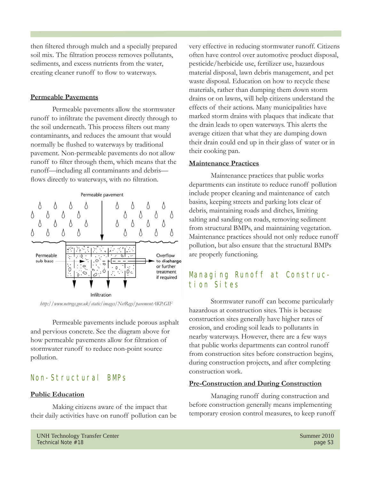then filtered through mulch and a specially prepared soil mix. The filtration process removes pollutants, sediments, and excess nutrients from the water, creating cleaner runoff to flow to waterways.

#### **Permeable Pavements**

 Permeable pavements allow the stormwater runoff to infiltrate the pavement directly through to the soil underneath. This process filters out many contaminants, and reduces the amount that would normally be flushed to waterways by traditional pavement. Non-permeable pavements do not allow runoff to filter through them, which means that the runoff—including all contaminants and debris flows directly to waterways, with no filtration.



*http://www.netregs.gov.uk/static/images/NetRegs/pavementAKP.GIF*

 Permeable pavements include porous asphalt and pervious concrete. See the diagram above for how permeable pavements allow for filtration of stormwater runoff to reduce non-point source pollution.

# Non-Structural BMPs

#### **Public Education**

 Making citizens aware of the impact that their daily activities have on runoff pollution can be very effective in reducing stormwater runoff. Citizens often have control over automotive product disposal, pesticide/herbicide use, fertilizer use, hazardous material disposal, lawn debris management, and pet waste disposal. Education on how to recycle these materials, rather than dumping them down storm drains or on lawns, will help citizens understand the effects of their actions. Many municipalities have marked storm drains with plaques that indicate that the drain leads to open waterways. This alerts the average citizen that what they are dumping down their drain could end up in their glass of water or in their cooking pan.

#### **Maintenance Practices**

 Maintenance practices that public works departments can institute to reduce runoff pollution include proper cleaning and maintenance of catch basins, keeping streets and parking lots clear of debris, maintaining roads and ditches, limiting salting and sanding on roads, removing sediment from structural BMPs, and maintaining vegetation. Maintenance practices should not only reduce runoff pollution, but also ensure that the structural BMPs are properly functioning.

# Managing Runoff at Construction Sites

 Stormwater runoff can become particularly hazardous at construction sites. This is because construction sites generally have higher rates of erosion, and eroding soil leads to pollutants in nearby waterways. However, there are a few ways that public works departments can control runoff from construction sites before construction begins, during construction projects, and after completing construction work.

#### **Pre-Construction and During Construction**

 Managing runoff during construction and before construction generally means implementing temporary erosion control measures, to keep runoff